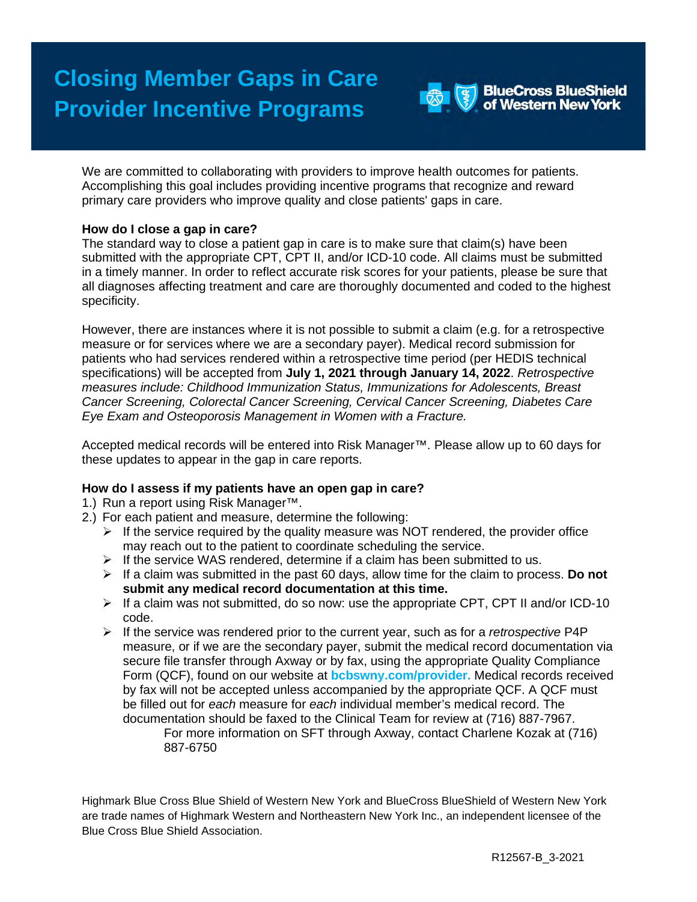

We are committed to collaborating with providers to improve health outcomes for patients. Accomplishing this goal includes providing incentive programs that recognize and reward primary care providers who improve quality and close patients' gaps in care.

## **How do I close a gap in care?**

The standard way to close a patient gap in care is to make sure that claim(s) have been submitted with the appropriate CPT, CPT II, and/or ICD-10 code. All claims must be submitted in a timely manner. In order to reflect accurate risk scores for your patients, please be sure that all diagnoses affecting treatment and care are thoroughly documented and coded to the highest specificity.

However, there are instances where it is not possible to submit a claim (e.g. for a retrospective measure or for services where we are a secondary payer). Medical record submission for patients who had services rendered within a retrospective time period (per HEDIS technical specifications) will be accepted from **July 1, 2021 through January 14, 2022**. *Retrospective measures include: Childhood Immunization Status, Immunizations for Adolescents, Breast Cancer Screening, Colorectal Cancer Screening, Cervical Cancer Screening, Diabetes Care Eye Exam and Osteoporosis Management in Women with a Fracture.*

Accepted medical records will be entered into Risk Manager™. Please allow up to 60 days for these updates to appear in the gap in care reports.

## **How do I assess if my patients have an open gap in care?**

1.) Run a report using Risk Manager™.

- 2.) For each patient and measure, determine the following:
	- $\triangleright$  If the service required by the quality measure was NOT rendered, the provider office may reach out to the patient to coordinate scheduling the service.
	- $\triangleright$  If the service WAS rendered, determine if a claim has been submitted to us.
	- $\triangleright$  If a claim was submitted in the past 60 days, allow time for the claim to process. **Do not submit any medical record documentation at this time.**
	- $\triangleright$  If a claim was not submitted, do so now: use the appropriate CPT, CPT II and/or ICD-10 code.
	- If the service was rendered prior to the current year, such as for a *retrospective* P4P measure, or if we are the secondary payer, submit the medical record documentation via secure file transfer through Axway or by fax, using the appropriate Quality Compliance Form (QCF), found on our website at **bcbswny.com/provider.** Medical records received by fax will not be accepted unless accompanied by the appropriate QCF. A QCF must be filled out for *each* measure for *each* individual member's medical record. The documentation should be faxed to the Clinical Team for review at (716) [887-7967.](tel:716-887-7967)

For more information on SFT through Axway, contact Charlene Kozak at (716) 887-6750

Highmark Blue Cross Blue Shield of Western New York and BlueCross BlueShield of Western New York are trade names of Highmark Western and Northeastern New York Inc., an independent licensee of the Blue Cross Blue Shield Association.